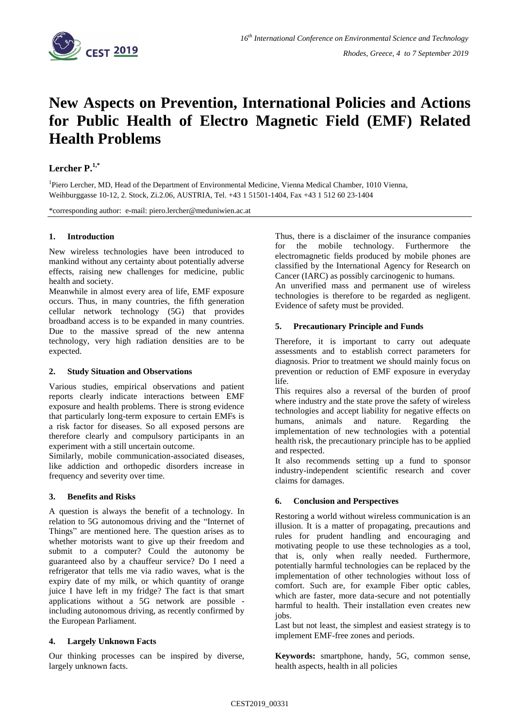

# **New Aspects on Prevention, International Policies and Actions for Public Health of Electro Magnetic Field (EMF) Related Health Problems**

## **Lercher P.1,\***

<sup>1</sup>Piero Lercher, MD, Head of the Department of Environmental Medicine, Vienna Medical Chamber, 1010 Vienna, Weihburggasse 10-12, 2. Stock, Zi.2.06, AUSTRIA, Tel. +43 1 51501-1404, Fax +43 1 512 60 23-1404

\*corresponding author: e-mail: piero.lercher@meduniwien.ac.at

#### **1. Introduction**

New wireless technologies have been introduced to mankind without any certainty about potentially adverse effects, raising new challenges for medicine, public health and society.

Meanwhile in almost every area of life, EMF exposure occurs. Thus, in many countries, the fifth generation cellular network technology (5G) that provides broadband access is to be expanded in many countries. Due to the massive spread of the new antenna technology, very high radiation densities are to be expected.

#### **2. Study Situation and Observations**

Various studies, empirical observations and patient reports clearly indicate interactions between EMF exposure and health problems. There is strong evidence that particularly long-term exposure to certain EMFs is a risk factor for diseases. So all exposed persons are therefore clearly and compulsory participants in an experiment with a still uncertain outcome.

Similarly, mobile communication-associated diseases, like addiction and orthopedic disorders increase in frequency and severity over time.

#### **3. Benefits and Risks**

A question is always the benefit of a technology. In relation to 5G autonomous driving and the "Internet of Things" are mentioned here. The question arises as to whether motorists want to give up their freedom and submit to a computer? Could the autonomy be guaranteed also by a chauffeur service? Do I need a refrigerator that tells me via radio waves, what is the expiry date of my milk, or which quantity of orange juice I have left in my fridge? The fact is that smart applications without a 5G network are possible including autonomous driving, as recently confirmed by the European Parliament.

#### **4. Largely Unknown Facts**

Our thinking processes can be inspired by diverse, largely unknown facts.

Thus, there is a disclaimer of the insurance companies for the mobile technology. Furthermore the electromagnetic fields produced by mobile phones are classified by the International Agency for Research on Cancer (IARC) as possibly carcinogenic to humans.

An unverified mass and permanent use of wireless technologies is therefore to be regarded as negligent. Evidence of safety must be provided.

### **5. Precautionary Principle and Funds**

Therefore, it is important to carry out adequate assessments and to establish correct parameters for diagnosis. Prior to treatment we should mainly focus on prevention or reduction of EMF exposure in everyday life.

This requires also a reversal of the burden of proof where industry and the state prove the safety of wireless technologies and accept liability for negative effects on humans, animals and nature. Regarding the implementation of new technologies with a potential health risk, the precautionary principle has to be applied and respected.

It also recommends setting up a fund to sponsor industry-independent scientific research and cover claims for damages.

#### **6. Conclusion and Perspectives**

Restoring a world without wireless communication is an illusion. It is a matter of propagating, precautions and rules for prudent handling and encouraging and motivating people to use these technologies as a tool, that is, only when really needed. Furthermore, potentially harmful technologies can be replaced by the implementation of other technologies without loss of comfort. Such are, for example Fiber optic cables, which are faster, more data-secure and not potentially harmful to health. Their installation even creates new jobs.

Last but not least, the simplest and easiest strategy is to implement EMF-free zones and periods.

**Keywords:** smartphone, handy, 5G, common sense, health aspects, health in all policies